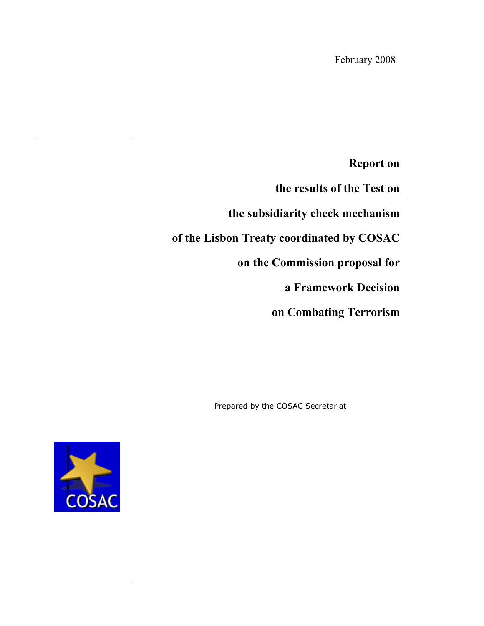**Report on** 

**the results of the Test on**

**the subsidiarity check mechanism** 

**of the Lisbon Treaty coordinated by COSAC** 

**on the Commission proposal for** 

**a Framework Decision**

 **on Combating Terrorism**

Prepared by the COSAC Secretariat

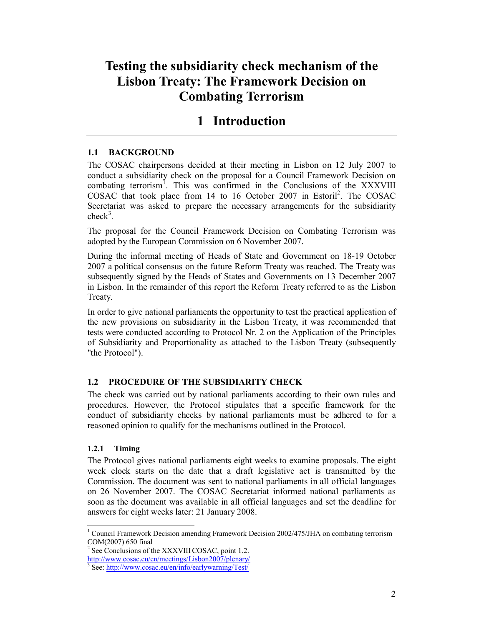# **Testing the subsidiarity check mechanism of the Lisbon Treaty: The Framework Decision on Combating Terrorism**

# **1 Introduction**

## **1.1 BACKGROUND**

The COSAC chairpersons decided at their meeting in Lisbon on 12 July 2007 to conduct a subsidiarity check on the proposal for a Council Framework Decision on combating terrorism<sup>1</sup>. This was confirmed in the Conclusions of the XXXVIII COSAC that took place from 14 to 16 October 2007 in Estoril<sup>2</sup>. The COSAC Secretariat was asked to prepare the necessary arrangements for the subsidiarity  $check<sup>3</sup>$ .

The proposal for the Council Framework Decision on Combating Terrorism was adopted by the European Commission on 6 November 2007.

During the informal meeting of Heads of State and Government on 18-19 October 2007 a political consensus on the future Reform Treaty was reached. The Treaty was subsequently signed by the Heads of States and Governments on 13 December 2007 in Lisbon. In the remainder of this report the Reform Treaty referred to as the Lisbon Treaty.

In order to give national parliaments the opportunity to test the practical application of the new provisions on subsidiarity in the Lisbon Treaty, it was recommended that tests were conducted according to Protocol Nr. 2 on the Application of the Principles of Subsidiarity and Proportionality as attached to the Lisbon Treaty (subsequently "the Protocol").

### **1.2 PROCEDURE OF THE SUBSIDIARITY CHECK**

The check was carried out by national parliaments according to their own rules and procedures. However, the Protocol stipulates that a specific framework for the conduct of subsidiarity checks by national parliaments must be adhered to for a reasoned opinion to qualify for the mechanisms outlined in the Protocol.

### **1.2.1 Timing**

The Protocol gives national parliaments eight weeks to examine proposals. The eight week clock starts on the date that a draft legislative act is transmitted by the Commission. The document was sent to national parliaments in all official languages on 26 November 2007. The COSAC Secretariat informed national parliaments as soon as the document was available in all official languages and set the deadline for answers for eight weeks later: 21 January 2008.

 $\overline{a}$ <sup>1</sup> Council Framework Decision amending Framework Decision 2002/475/JHA on combating terrorism COM(2007) 650 final

 $2^2$  See Conclusions of the XXXVIII COSAC, point 1.2.

http://www.cosac.eu/en/meetings/Lisbon2007/plenary/

<sup>&</sup>lt;sup>3</sup> See: http://www.cosac.eu/en/info/earlywarning/Test/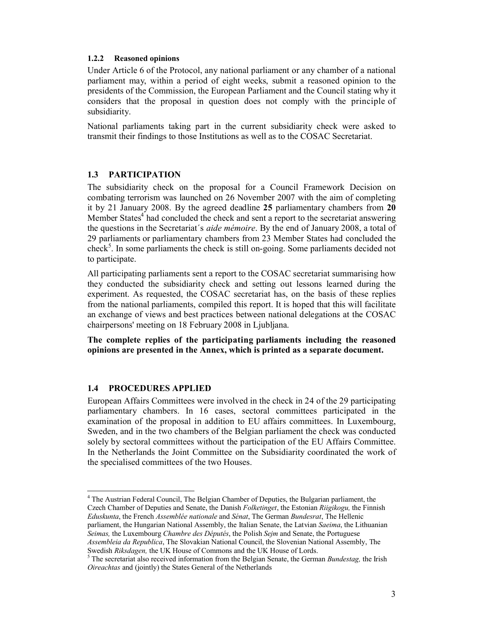#### **1.2.2 Reasoned opinions**

Under Article 6 of the Protocol, any national parliament or any chamber of a national parliament may, within a period of eight weeks, submit a reasoned opinion to the presidents of the Commission, the European Parliament and the Council stating why it considers that the proposal in question does not comply with the principle of subsidiarity.

National parliaments taking part in the current subsidiarity check were asked to transmit their findings to those Institutions as well as to the COSAC Secretariat.

#### **1.3 PARTICIPATION**

The subsidiarity check on the proposal for a Council Framework Decision on combating terrorism was launched on 26 November 2007 with the aim of completing it by 21 January 2008. By the agreed deadline **25** parliamentary chambers from **20**  Member States<sup>4</sup> had concluded the check and sent a report to the secretariat answering the questions in the Secretariat´s *aide mémoire*. By the end of January 2008, a total of 29 parliaments or parliamentary chambers from 23 Member States had concluded the check<sup>5</sup>. In some parliaments the check is still on-going. Some parliaments decided not to participate.

All participating parliaments sent a report to the COSAC secretariat summarising how they conducted the subsidiarity check and setting out lessons learned during the experiment. As requested, the COSAC secretariat has, on the basis of these replies from the national parliaments, compiled this report. It is hoped that this will facilitate an exchange of views and best practices between national delegations at the COSAC chairpersons' meeting on 18 February 2008 in Ljubljana.

**The complete replies of the participating parliaments including the reasoned opinions are presented in the Annex, which is printed as a separate document.**

#### **1.4 PROCEDURES APPLIED**

European Affairs Committees were involved in the check in 24 of the 29 participating parliamentary chambers. In 16 cases, sectoral committees participated in the examination of the proposal in addition to EU affairs committees. In Luxembourg, Sweden, and in the two chambers of the Belgian parliament the check was conducted solely by sectoral committees without the participation of the EU Affairs Committee. In the Netherlands the Joint Committee on the Subsidiarity coordinated the work of the specialised committees of the two Houses.

 $\overline{a}$ <sup>4</sup> The Austrian Federal Council, The Belgian Chamber of Deputies, the Bulgarian parliament, the Czech Chamber of Deputies and Senate, the Danish *Folketinget*, the Estonian *Riigikogu,* the Finnish *Eduskunta*, the French *Assemblée nationale* and *Sénat*, The German *Bundesrat*, The Hellenic parliament, the Hungarian National Assembly, the Italian Senate, the Latvian *Saeima*, the Lithuanian *Seimas,* the Luxembourg *Chambre des Députés*, the Polish *Sejm* and Senate, the Portuguese *Assembleia da Republica*, The Slovakian National Council, the Slovenian National Assembly, The

Swedish *Riksdagen,* the UK House of Commons and the UK House of Lords. 5 The secretariat also received information from the Belgian Senate, the German *Bundestag,* the Irish *Oireachtas* and (jointly) the States General of the Netherlands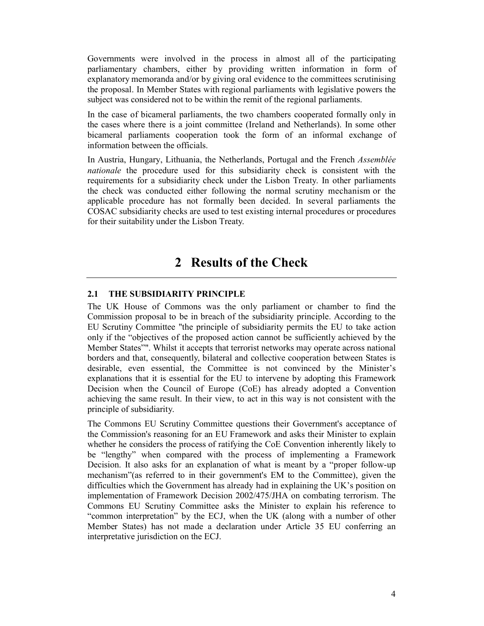Governments were involved in the process in almost all of the participating parliamentary chambers, either by providing written information in form of explanatory memoranda and/or by giving oral evidence to the committees scrutinising the proposal. In Member States with regional parliaments with legislative powers the subject was considered not to be within the remit of the regional parliaments.

In the case of bicameral parliaments, the two chambers cooperated formally only in the cases where there is a joint committee (Ireland and Netherlands). In some other bicameral parliaments cooperation took the form of an informal exchange of information between the officials.

In Austria, Hungary, Lithuania, the Netherlands, Portugal and the French *Assemblée nationale* the procedure used for this subsidiarity check is consistent with the requirements for a subsidiarity check under the Lisbon Treaty. In other parliaments the check was conducted either following the normal scrutiny mechanism or the applicable procedure has not formally been decided. In several parliaments the COSAC subsidiarity checks are used to test existing internal procedures or procedures for their suitability under the Lisbon Treaty.

## **2 Results of the Check**

#### **2.1 THE SUBSIDIARITY PRINCIPLE**

The UK House of Commons was the only parliament or chamber to find the Commission proposal to be in breach of the subsidiarity principle. According to the EU Scrutiny Committee "the principle of subsidiarity permits the EU to take action only if the "objectives of the proposed action cannot be sufficiently achieved by the Member States"". Whilst it accepts that terrorist networks may operate across national borders and that, consequently, bilateral and collective cooperation between States is desirable, even essential, the Committee is not convinced by the Minister's explanations that it is essential for the EU to intervene by adopting this Framework Decision when the Council of Europe (CoE) has already adopted a Convention achieving the same result. In their view, to act in this way is not consistent with the principle of subsidiarity.

The Commons EU Scrutiny Committee questions their Government's acceptance of the Commission's reasoning for an EU Framework and asks their Minister to explain whether he considers the process of ratifying the CoE Convention inherently likely to be "lengthy" when compared with the process of implementing a Framework Decision. It also asks for an explanation of what is meant by a "proper follow-up mechanism"(as referred to in their government's EM to the Committee), given the difficulties which the Government has already had in explaining the UK's position on implementation of Framework Decision 2002/475/JHA on combating terrorism. The Commons EU Scrutiny Committee asks the Minister to explain his reference to "common interpretation" by the ECJ, when the UK (along with a number of other Member States) has not made a declaration under Article 35 EU conferring an interpretative jurisdiction on the ECJ.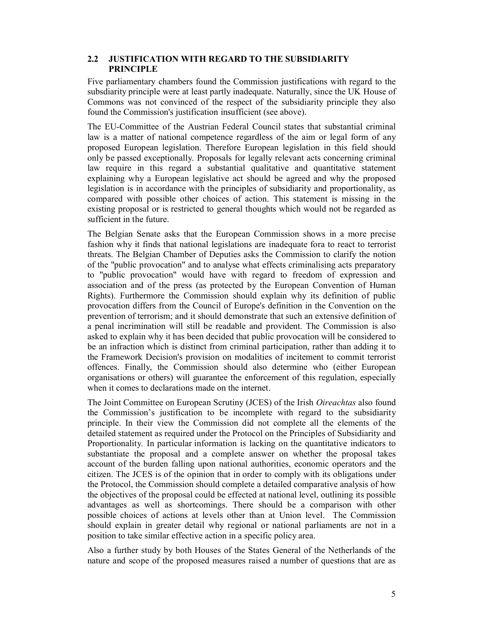#### **2.2 JUSTIFICATION WITH REGARD TO THE SUBSIDIARITY PRINCIPLE**

Five parliamentary chambers found the Commission justifications with regard to the subsdiarity principle were at least partly inadequate. Naturally, since the UK House of Commons was not convinced of the respect of the subsidiarity principle they also found the Commission's justification insufficient (see above).

The EU-Committee of the Austrian Federal Council states that substantial criminal law is a matter of national competence regardless of the aim or legal form of any proposed European legislation. Therefore European legislation in this field should only be passed exceptionally. Proposals for legally relevant acts concerning criminal law require in this regard a substantial qualitative and quantitative statement explaining why a European legislative act should be agreed and why the proposed legislation is in accordance with the principles of subsidiarity and proportionality, as compared with possible other choices of action. This statement is missing in the existing proposal or is restricted to general thoughts which would not be regarded as sufficient in the future.

The Belgian Senate asks that the European Commission shows in a more precise fashion why it finds that national legislations are inadequate fora to react to terrorist threats. The Belgian Chamber of Deputies asks the Commission to clarify the notion of the "public provocation" and to analyse what effects criminalising acts preparatory to "public provocation" would have with regard to freedom of expression and association and of the press (as protected by the European Convention of Human Rights). Furthermore the Commission should explain why its definition of public provocation differs from the Council of Europe's definition in the Convention on the prevention of terrorism; and it should demonstrate that such an extensive definition of a penal incrimination will still be readable and provident. The Commission is also asked to explain why it has been decided that public provocation will be considered to be an infraction which is distinct from criminal participation, rather than adding it to the Framework Decision's provision on modalities of incitement to commit terrorist offences. Finally, the Commission should also determine who (either European organisations or others) will guarantee the enforcement of this regulation, especially when it comes to declarations made on the internet.

The Joint Committee on European Scrutiny (JCES) of the Irish *Oireachtas* also found the Commission's justification to be incomplete with regard to the subsidiarity principle. In their view the Commission did not complete all the elements of the detailed statement as required under the Protocol on the Principles of Subsidiarity and Proportionality. In particular information is lacking on the quantitative indicators to substantiate the proposal and a complete answer on whether the proposal takes account of the burden falling upon national authorities, economic operators and the citizen. The JCES is of the opinion that in order to comply with its obligations under the Protocol, the Commission should complete a detailed comparative analysis of how the objectives of the proposal could be effected at national level, outlining its possible advantages as well as shortcomings. There should be a comparison with other possible choices of actions at levels other than at Union level. The Commission should explain in greater detail why regional or national parliaments are not in a position to take similar effective action in a specific policy area.

Also a further study by both Houses of the States General of the Netherlands of the nature and scope of the proposed measures raised a number of questions that are as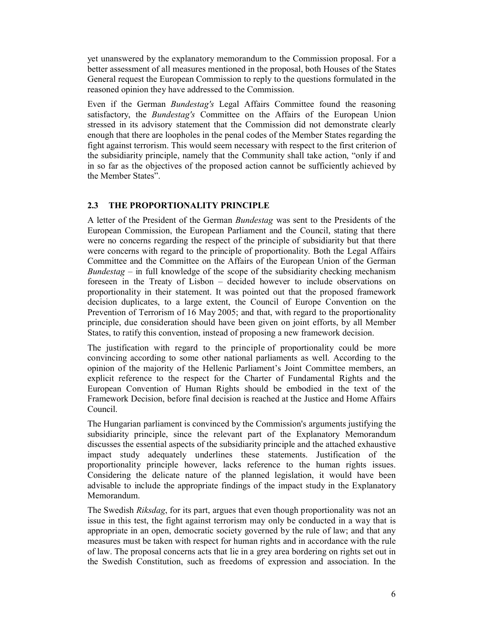yet unanswered by the explanatory memorandum to the Commission proposal. For a better assessment of all measures mentioned in the proposal, both Houses of the States General request the European Commission to reply to the questions formulated in the reasoned opinion they have addressed to the Commission.

Even if the German *Bundestag's* Legal Affairs Committee found the reasoning satisfactory, the *Bundestag's* Committee on the Affairs of the European Union stressed in its advisory statement that the Commission did not demonstrate clearly enough that there are loopholes in the penal codes of the Member States regarding the fight against terrorism. This would seem necessary with respect to the first criterion of the subsidiarity principle, namely that the Community shall take action, "only if and in so far as the objectives of the proposed action cannot be sufficiently achieved by the Member States".

### **2.3 THE PROPORTIONALITY PRINCIPLE**

A letter of the President of the German *Bundestag* was sent to the Presidents of the European Commission, the European Parliament and the Council, stating that there were no concerns regarding the respect of the principle of subsidiarity but that there were concerns with regard to the principle of proportionality. Both the Legal Affairs Committee and the Committee on the Affairs of the European Union of the German *Bundestag* – in full knowledge of the scope of the subsidiarity checking mechanism foreseen in the Treaty of Lisbon – decided however to include observations on proportionality in their statement. It was pointed out that the proposed framework decision duplicates, to a large extent, the Council of Europe Convention on the Prevention of Terrorism of 16 May 2005; and that, with regard to the proportionality principle, due consideration should have been given on joint efforts, by all Member States, to ratify this convention, instead of proposing a new framework decision.

The justification with regard to the principle of proportionality could be more convincing according to some other national parliaments as well. According to the opinion of the majority of the Hellenic Parliament's Joint Committee members, an explicit reference to the respect for the Charter of Fundamental Rights and the European Convention of Human Rights should be embodied in the text of the Framework Decision, before final decision is reached at the Justice and Home Affairs Council.

The Hungarian parliament is convinced by the Commission's arguments justifying the subsidiarity principle, since the relevant part of the Explanatory Memorandum discusses the essential aspects of the subsidiarity principle and the attached exhaustive impact study adequately underlines these statements. Justification of the proportionality principle however, lacks reference to the human rights issues. Considering the delicate nature of the planned legislation, it would have been advisable to include the appropriate findings of the impact study in the Explanatory Memorandum.

The Swedish *Riksdag*, for its part, argues that even though proportionality was not an issue in this test, the fight against terrorism may only be conducted in a way that is appropriate in an open, democratic society governed by the rule of law; and that any measures must be taken with respect for human rights and in accordance with the rule of law. The proposal concerns acts that lie in a grey area bordering on rights set out in the Swedish Constitution, such as freedoms of expression and association. In the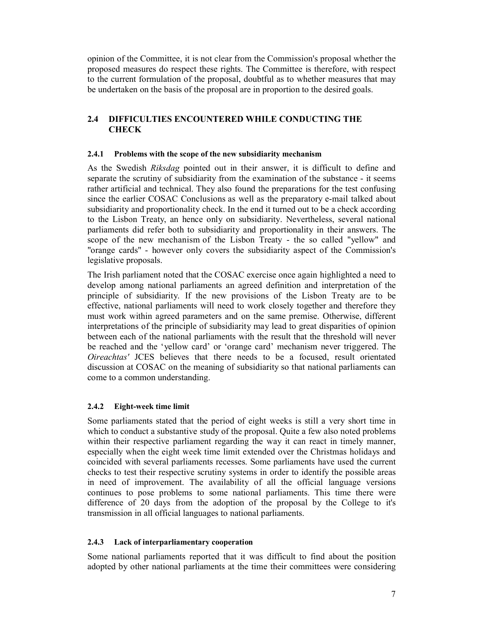opinion of the Committee, it is not clear from the Commission's proposal whether the proposed measures do respect these rights. The Committee is therefore, with respect to the current formulation of the proposal, doubtful as to whether measures that may be undertaken on the basis of the proposal are in proportion to the desired goals.

### **2.4 DIFFICULTIES ENCOUNTERED WHILE CONDUCTING THE CHECK**

#### **2.4.1 Problems with the scope of the new subsidiarity mechanism**

As the Swedish *Riksdag* pointed out in their answer, it is difficult to define and separate the scrutiny of subsidiarity from the examination of the substance - it seems rather artificial and technical. They also found the preparations for the test confusing since the earlier COSAC Conclusions as well as the preparatory e-mail talked about subsidiarity and proportionality check. In the end it turned out to be a check according to the Lisbon Treaty, an hence only on subsidiarity. Nevertheless, several national parliaments did refer both to subsidiarity and proportionality in their answers. The scope of the new mechanism of the Lisbon Treaty - the so called "yellow" and "orange cards" - however only covers the subsidiarity aspect of the Commission's legislative proposals.

The Irish parliament noted that the COSAC exercise once again highlighted a need to develop among national parliaments an agreed definition and interpretation of the principle of subsidiarity. If the new provisions of the Lisbon Treaty are to be effective, national parliaments will need to work closely together and therefore they must work within agreed parameters and on the same premise. Otherwise, different interpretations of the principle of subsidiarity may lead to great disparities of opinion between each of the national parliaments with the result that the threshold will never be reached and the 'yellow card' or 'orange card' mechanism never triggered. The *Oireachtas'* JCES believes that there needs to be a focused, result orientated discussion at COSAC on the meaning of subsidiarity so that national parliaments can come to a common understanding.

#### **2.4.2 Eight-week time limit**

Some parliaments stated that the period of eight weeks is still a very short time in which to conduct a substantive study of the proposal. Quite a few also noted problems within their respective parliament regarding the way it can react in timely manner, especially when the eight week time limit extended over the Christmas holidays and coincided with several parliaments recesses. Some parliaments have used the current checks to test their respective scrutiny systems in order to identify the possible areas in need of improvement. The availability of all the official language versions continues to pose problems to some national parliaments. This time there were difference of 20 days from the adoption of the proposal by the College to it's transmission in all official languages to national parliaments.

#### **2.4.3 Lack of interparliamentary cooperation**

Some national parliaments reported that it was difficult to find about the position adopted by other national parliaments at the time their committees were considering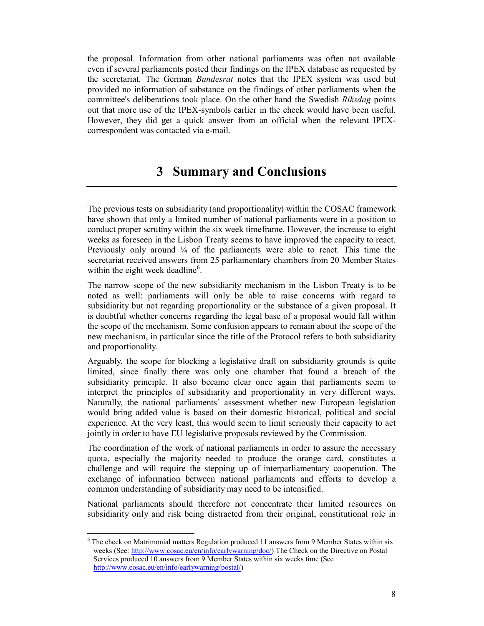the proposal. Information from other national parliaments was often not available even if several parliaments posted their findings on the IPEX database as requested by the secretariat. The German *Bundesrat* notes that the IPEX system was used but provided no information of substance on the findings of other parliaments when the committee's deliberations took place. On the other hand the Swedish *Riksdag* points out that more use of the IPEX-symbols earlier in the check would have been useful. However, they did get a quick answer from an official when the relevant IPEXcorrespondent was contacted via e-mail.

# **3 Summary and Conclusions**

The previous tests on subsidiarity (and proportionality) within the COSAC framework have shown that only a limited number of national parliaments were in a position to conduct proper scrutiny within the six week timeframe. However, the increase to eight weeks as foreseen in the Lisbon Treaty seems to have improved the capacity to react. Previously only around  $\frac{1}{4}$  of the parliaments were able to react. This time the secretariat received answers from 25 parliamentary chambers from 20 Member States within the eight week deadline<sup>6</sup>.

The narrow scope of the new subsidiarity mechanism in the Lisbon Treaty is to be noted as well: parliaments will only be able to raise concerns with regard to subsidiarity but not regarding proportionality or the substance of a given proposal. It is doubtful whether concerns regarding the legal base of a proposal would fall within the scope of the mechanism. Some confusion appears to remain about the scope of the new mechanism, in particular since the title of the Protocol refers to both subsidiarity and proportionality.

Arguably, the scope for blocking a legislative draft on subsidiarity grounds is quite limited, since finally there was only one chamber that found a breach of the subsidiarity principle. It also became clear once again that parliaments seem to interpret the principles of subsidiarity and proportionality in very different ways. Naturally, the national parliaments´ assessment whether new European legislation would bring added value is based on their domestic historical, political and social experience. At the very least, this would seem to limit seriously their capacity to act jointly in order to have EU legislative proposals reviewed by the Commission.

The coordination of the work of national parliaments in order to assure the necessary quota, especially the majority needed to produce the orange card, constitutes a challenge and will require the stepping up of interparliamentary cooperation. The exchange of information between national parliaments and efforts to develop a common understanding of subsidiarity may need to be intensified.

National parliaments should therefore not concentrate their limited resources on subsidiarity only and risk being distracted from their original, constitutional role in

 $\overline{\phantom{a}}$ <sup>6</sup> The check on Matrimonial matters Regulation produced 11 answers from 9 Member States within six weeks (See: http://www.cosac.eu/en/info/earlywarning/doc/) The Check on the Directive on Postal Services produced 10 answers from 9 Member States within six weeks time (See http://www.cosac.eu/en/info/earlywarning/postal/)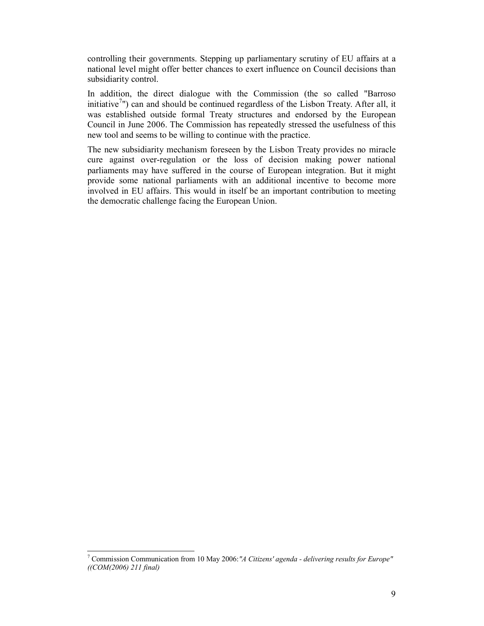controlling their governments. Stepping up parliamentary scrutiny of EU affairs at a national level might offer better chances to exert influence on Council decisions than subsidiarity control.

In addition, the direct dialogue with the Commission (the so called "Barroso initiative<sup>7</sup>") can and should be continued regardless of the Lisbon Treaty. After all, it was established outside formal Treaty structures and endorsed by the European Council in June 2006. The Commission has repeatedly stressed the usefulness of this new tool and seems to be willing to continue with the practice.

The new subsidiarity mechanism foreseen by the Lisbon Treaty provides no miracle cure against over-regulation or the loss of decision making power national parliaments may have suffered in the course of European integration. But it might provide some national parliaments with an additional incentive to become more involved in EU affairs. This would in itself be an important contribution to meeting the democratic challenge facing the European Union.

 $\overline{a}$ <sup>7</sup> Commission Communication from 10 May 2006:*"A Citizens' agenda - delivering results for Europe" ((COM(2006) 211 final)*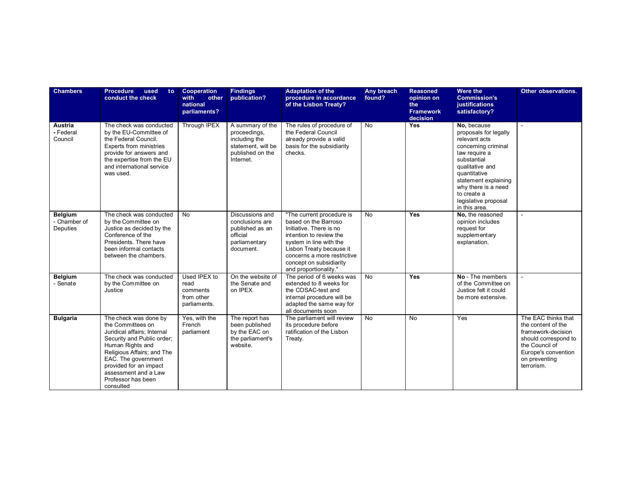| <b>Chambers</b>                            | <b>Procedure</b><br>used<br>to.<br>conduct the check                                                                                                                                                                                                                  | Cooperation<br>with<br>other<br>national<br>parliaments?       | <b>Findings</b><br>publication?                                                                          | <b>Adaptation of the</b><br>procedure in accordance<br>of the Lisbon Treaty?                                                                                                                                                                      | Any breach<br>found? | <b>Reasoned</b><br>opinion on<br>the<br><b>Framework</b><br>decision | <b>Were the</b><br><b>Commission's</b><br>justifications<br>satisfactory?                                                                                                                                                                              | Other observations.                                                                                                                                             |
|--------------------------------------------|-----------------------------------------------------------------------------------------------------------------------------------------------------------------------------------------------------------------------------------------------------------------------|----------------------------------------------------------------|----------------------------------------------------------------------------------------------------------|---------------------------------------------------------------------------------------------------------------------------------------------------------------------------------------------------------------------------------------------------|----------------------|----------------------------------------------------------------------|--------------------------------------------------------------------------------------------------------------------------------------------------------------------------------------------------------------------------------------------------------|-----------------------------------------------------------------------------------------------------------------------------------------------------------------|
| Austria<br>- Federal<br>Council            | The check was conducted<br>by the EU-Committee of<br>the Federal Council.<br>Experts from ministries<br>provide for answers and<br>the expertise from the EU<br>and international service<br>was used.                                                                | Through IPEX                                                   | A summary of the<br>proceedings,<br>including the<br>statement, will be<br>published on the<br>Internet. | The rules of procedure of<br>the Federal Council<br>already provide a valid<br>basis for the subsidiarity<br>checks.                                                                                                                              | $\overline{N}$       | Yes                                                                  | No, because<br>proposals for legally<br>relevant acts<br>concerning criminal<br>law require a<br>substantial<br>qualitative and<br>quantitative<br>statement explaining<br>why there is a need<br>to create a<br>legislative proposal<br>in this area. |                                                                                                                                                                 |
| <b>Belgium</b><br>- Chamber of<br>Deputies | The check was conducted<br>by the Committee on<br>Justice as decided by the<br>Conference of the<br>Presidents. There have<br>been informal contacts<br>between the chambers.                                                                                         | <b>No</b>                                                      | Discussions and<br>conclusions are<br>published as an<br>official<br>parliamentary<br>document.          | "The current procedure is<br>based on the Barroso<br>Initiative. There is no<br>intention to review the<br>system in line with the<br>Lisbon Treaty because it<br>concerns a more restrictive<br>concept on subsidiarity<br>and proportionality." | <b>No</b>            | Yes                                                                  | No, the reasoned<br>opinion includes<br>request for<br>supplementary<br>explanation.                                                                                                                                                                   |                                                                                                                                                                 |
| <b>Belgium</b><br>- Senate                 | The check was conducted<br>by the Committee on<br>Justice                                                                                                                                                                                                             | Used IPEX to<br>read<br>comments<br>from other<br>parliaments. | On the website of<br>the Senate and<br>on IPEX                                                           | The period of 6 weeks was<br>extended to 8 weeks for<br>the COSAC-test and<br>internal procedure will be<br>adapted the same way for<br>all documents soon                                                                                        | <b>No</b>            | Yes                                                                  | No - The members<br>of the Committee on<br>Justice felt it could<br>be more extensive.                                                                                                                                                                 |                                                                                                                                                                 |
| <b>Bulgaria</b>                            | The check was done by<br>the Committees on<br>Juridical affairs; Internal<br>Security and Public order;<br>Human Rights and<br>Religious Affairs; and The<br>EAC. The government<br>provided for an impact<br>assessment and a Law<br>Professor has been<br>consulted | Yes, with the<br>French<br>parliament                          | The report has<br>been published<br>by the EAC on<br>the parliament's<br>website.                        | The parliament will review<br>its procedure before<br>ratification of the Lisbon<br>Treaty.                                                                                                                                                       | <b>No</b>            | <b>No</b>                                                            | Yes                                                                                                                                                                                                                                                    | The EAC thinks that<br>the content of the<br>framework-decision<br>should correspond to<br>the Council of<br>Europe's convention<br>on preventing<br>terrorism. |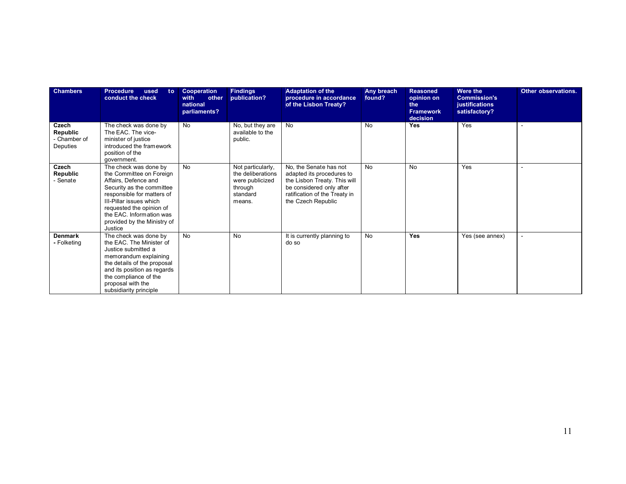| <b>Chambers</b>                               | <b>Procedure</b><br>used<br>to:<br>conduct the check                                                                                                                                                                                                              | Cooperation<br>other<br>with<br>national<br>parliaments? | <b>Findings</b><br>publication?                                                            | <b>Adaptation of the</b><br>procedure in accordance<br>of the Lisbon Treaty?                                                                                           | Any breach<br>found? | <b>Reasoned</b><br>opinion on<br>the<br><b>Framework</b><br>decision | <b>Were the</b><br><b>Commission's</b><br>justifications<br>satisfactory? | Other observations. |
|-----------------------------------------------|-------------------------------------------------------------------------------------------------------------------------------------------------------------------------------------------------------------------------------------------------------------------|----------------------------------------------------------|--------------------------------------------------------------------------------------------|------------------------------------------------------------------------------------------------------------------------------------------------------------------------|----------------------|----------------------------------------------------------------------|---------------------------------------------------------------------------|---------------------|
| Czech<br>Republic<br>- Chamber of<br>Deputies | The check was done by<br>The EAC. The vice-<br>minister of justice<br>introduced the framework<br>position of the<br>government.                                                                                                                                  | No                                                       | No, but they are<br>available to the<br>public.                                            | <b>No</b>                                                                                                                                                              | <b>No</b>            | <b>Yes</b>                                                           | Yes                                                                       |                     |
| Czech<br>Republic<br>- Senate                 | The check was done by<br>the Committee on Foreign<br>Affairs, Defence and<br>Security as the committee<br>responsible for matters of<br>III-Pillar issues which<br>requested the opinion of<br>the EAC. Information was<br>provided by the Ministry of<br>Justice | No                                                       | Not particularly,<br>the deliberations<br>were publicized<br>through<br>standard<br>means. | No, the Senate has not<br>adapted its procedures to<br>the Lisbon Treaty. This will<br>be considered only after<br>ratification of the Treaty in<br>the Czech Republic | <b>No</b>            | <b>No</b>                                                            | Yes                                                                       |                     |
| <b>Denmark</b><br>- Folketing                 | The check was done by<br>the EAC. The Minister of<br>Justice submitted a<br>memorandum explaining<br>the details of the proposal<br>and its position as regards<br>the compliance of the<br>proposal with the<br>subsidiarity principle                           | <b>No</b>                                                | No                                                                                         | It is currently planning to<br>do so                                                                                                                                   | <b>No</b>            | <b>Yes</b>                                                           | Yes (see annex)                                                           |                     |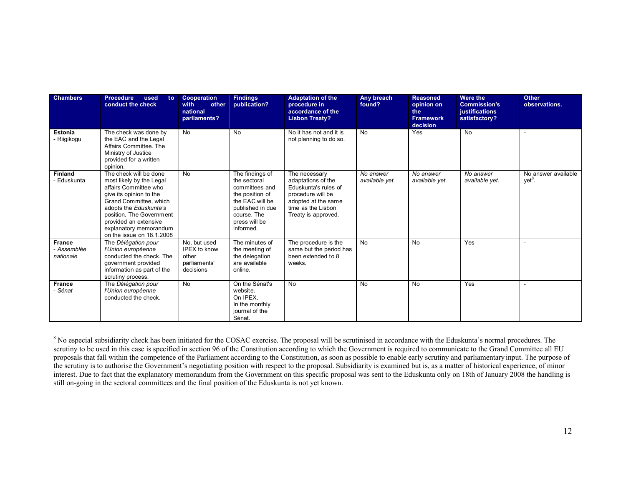| <b>Chambers</b>                           | <b>Procedure</b><br>used<br>to:<br>conduct the check                                                                                                                                                                                                                   | Cooperation<br>with<br>other<br>national<br>parliaments?                  | <b>Findings</b><br>publication?                                                                                                                          | <b>Adaptation of the</b><br>procedure in<br>accordance of the<br><b>Lisbon Treaty?</b>                                                               | Any breach<br>found?        | <b>Reasoned</b><br>opinion on<br>the<br><b>Framework</b><br>decision | Were the<br><b>Commission's</b><br>justifications<br>satisfactory? | <b>Other</b><br>observations.             |
|-------------------------------------------|------------------------------------------------------------------------------------------------------------------------------------------------------------------------------------------------------------------------------------------------------------------------|---------------------------------------------------------------------------|----------------------------------------------------------------------------------------------------------------------------------------------------------|------------------------------------------------------------------------------------------------------------------------------------------------------|-----------------------------|----------------------------------------------------------------------|--------------------------------------------------------------------|-------------------------------------------|
| Estonia<br>- Riigikogu                    | The check was done by<br>the EAC and the Legal<br>Affairs Committee. The<br>Ministry of Justice<br>provided for a written<br>opinion.                                                                                                                                  | <b>No</b>                                                                 | No                                                                                                                                                       | No it has not and it is<br>not planning to do so.                                                                                                    | <b>No</b>                   | Yes                                                                  | <b>No</b>                                                          |                                           |
| <b>Finland</b><br>- Eduskunta             | The check will be done<br>most likely by the Legal<br>affairs Committee who<br>give its opinion to the<br>Grand Committee, which<br>adopts the Eduskunta's<br>position. The Government<br>provided an extensive<br>explanatory memorandum<br>on the issue on 18.1.2008 | <b>No</b>                                                                 | The findings of<br>the sectoral<br>committees and<br>the position of<br>the EAC will be<br>published in due<br>course. The<br>press will be<br>informed. | The necessary<br>adaptations of the<br>Eduskunta's rules of<br>procedure will be<br>adopted at the same<br>time as the Lisbon<br>Treaty is approved. | No answer<br>available yet. | No answer<br>available yet.                                          | No answer<br>available yet.                                        | No answer available<br>yet <sup>8</sup> . |
| <b>France</b><br>- Assemblée<br>nationale | The Délégation pour<br>l'Union européenne<br>conducted the check. The<br>government provided<br>information as part of the<br>scrutiny process.                                                                                                                        | No, but used<br><b>IPEX to know</b><br>other<br>parliaments'<br>decisions | The minutes of<br>the meeting of<br>the delegation<br>are available<br>online.                                                                           | The procedure is the<br>same but the period has<br>been extended to 8<br>weeks.                                                                      | <b>No</b>                   | <b>No</b>                                                            | Yes                                                                |                                           |
| <b>France</b><br>- Sénat                  | The Délégation pour<br>l'Union européenne<br>conducted the check.                                                                                                                                                                                                      | <b>No</b>                                                                 | On the Sénat's<br>website.<br>On IPEX.<br>In the monthly<br>journal of the<br>Sénat.                                                                     | <b>No</b>                                                                                                                                            | <b>No</b>                   | No                                                                   | Yes                                                                |                                           |

<sup>&</sup>lt;sup>8</sup> No especial subsidiarity check has been initiated for the COSAC exercise. The proposal will be scrutinised in accordance with the Eduskunta's normal procedures. The scrutiny to be used in this case is specified in section 96 of the Constitution according to which the Government is required to communicate to the Grand Committee all EU proposals that fall within the competence of the Parliament according to the Constitution, as soon as possible to enable early scrutiny and parliamentary input. The purpose of the scrutiny is to authorise the Government's negotiating position with respect to the proposal. Subsidiarity is examined but is, as a matter of historical experience, of minor interest. Due to fact that the explanatory memorandum from the Government on this specific proposal was sent to the Eduskunta only on 18th of January 2008 the handling is still on-going in the sectoral committees and the final position of the Eduskunta is not yet known.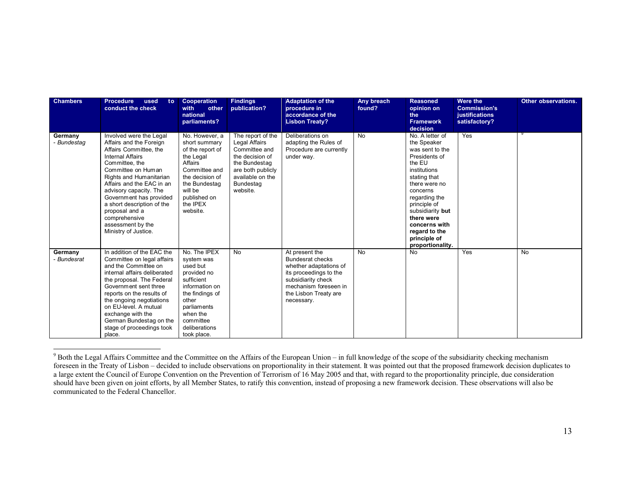| <b>Chambers</b>        | <b>Procedure</b><br>used<br>to:<br>conduct the check                                                                                                                                                                                                                                                                                                                | Cooperation<br>with<br>other<br>national<br>parliaments?                                                                                                                                  | <b>Findings</b><br>publication?                                                                                                                           | <b>Adaptation of the</b><br>procedure in<br>accordance of the<br><b>Lisbon Treaty?</b>                                                                                              | Any breach<br>found? | <b>Reasoned</b><br>opinion on<br>the<br><b>Framework</b><br>decision                                                                                                                                                                                                               | Were the<br><b>Commission's</b><br>justifications<br>satisfactory? | Other observations. |
|------------------------|---------------------------------------------------------------------------------------------------------------------------------------------------------------------------------------------------------------------------------------------------------------------------------------------------------------------------------------------------------------------|-------------------------------------------------------------------------------------------------------------------------------------------------------------------------------------------|-----------------------------------------------------------------------------------------------------------------------------------------------------------|-------------------------------------------------------------------------------------------------------------------------------------------------------------------------------------|----------------------|------------------------------------------------------------------------------------------------------------------------------------------------------------------------------------------------------------------------------------------------------------------------------------|--------------------------------------------------------------------|---------------------|
| Germany<br>- Bundestag | Involved were the Legal<br>Affairs and the Foreign<br>Affairs Committee, the<br>Internal Affairs<br>Committee, the<br>Committee on Human<br>Rights and Humanitarian<br>Affairs and the EAC in an<br>advisory capacity. The<br>Government has provided<br>a short description of the<br>proposal and a<br>comprehensive<br>assessment by the<br>Ministry of Justice. | No. However, a<br>short summary<br>of the report of<br>the Legal<br>Affairs<br>Committee and<br>the decision of<br>the Bundestag<br>will be<br>published on<br>the IPEX<br>website.       | The report of the<br>Legal Affairs<br>Committee and<br>the decision of<br>the Bundestag<br>are both publicly<br>available on the<br>Bundestag<br>website. | Deliberations on<br>adapting the Rules of<br>Procedure are currently<br>under way.                                                                                                  | <b>No</b>            | No. A letter of<br>the Speaker<br>was sent to the<br>Presidents of<br>the EU<br>institutions<br>stating that<br>there were no<br>concerns<br>regarding the<br>principle of<br>subsidiarity but<br>there were<br>concerns with<br>regard to the<br>principle of<br>proportionality. | Yes                                                                |                     |
| Germany<br>- Bundesrat | In addition of the EAC the<br>Committee on legal affairs<br>and the Committee on<br>internal affairs deliberated<br>the proposal. The Federal<br>Government sent three<br>reports on the results of<br>the ongoing negotiations<br>on EU-level. A mutual<br>exchange with the<br>German Bundestag on the<br>stage of proceedings took<br>place.                     | No. The IPEX<br>system was<br>used but<br>provided no<br>sufficient<br>information on<br>the findings of<br>other<br>parliaments<br>when the<br>committee<br>deliberations<br>took place. | <b>No</b>                                                                                                                                                 | At present the<br><b>Bundesrat checks</b><br>whether adaptations of<br>its proceedings to the<br>subsidiarity check<br>mechanism foreseen in<br>the Lisbon Treaty are<br>necessary. | <b>No</b>            | No                                                                                                                                                                                                                                                                                 | Yes                                                                | <b>No</b>           |

<sup>&</sup>lt;sup>9</sup> Both the Legal Affairs Committee and the Committee on the Affairs of the European Union – in full knowledge of the scope of the subsidiarity checking mechanism foreseen in the Treaty of Lisbon – decided to include observations on proportionality in their statement. It was pointed out that the proposed framework decision duplicates to a large extent the Council of Europe Convention on the Prevention of Terrorism of 16 May 2005 and that, with regard to the proportionality principle, due consideration should have been given on joint efforts, by all Member States, to ratify this convention, instead of proposing a new framework decision. These observations will also be communicated to the Federal Chancellor.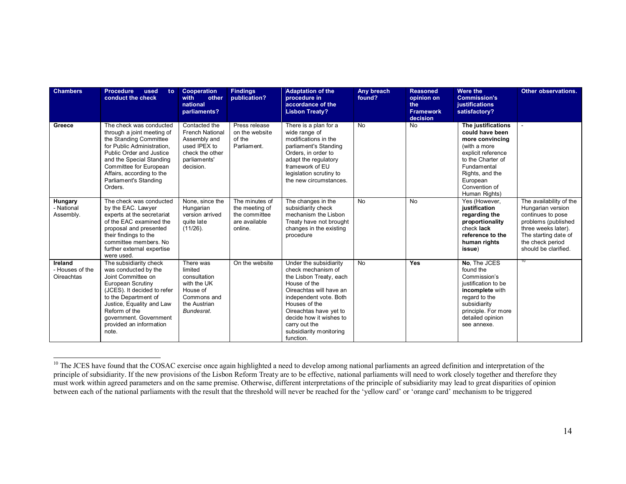| <b>Chambers</b>                                 | <b>Procedure</b><br>used<br>to:<br>conduct the check                                                                                                                                                                                                             | <b>Cooperation</b><br>with<br>other<br>national<br>parliaments?                                                         | <b>Findings</b><br>publication?                                               | <b>Adaptation of the</b><br>procedure in<br>accordance of the<br><b>Lisbon Treaty?</b>                                                                                                                                                                                      | Any breach<br>found? | <b>Reasoned</b><br>opinion on<br>the<br><b>Framework</b><br>decision | Were the<br><b>Commission's</b><br>justifications<br>satisfactory?                                                                                                                                  | Other observations.                                                                                                                                                                 |
|-------------------------------------------------|------------------------------------------------------------------------------------------------------------------------------------------------------------------------------------------------------------------------------------------------------------------|-------------------------------------------------------------------------------------------------------------------------|-------------------------------------------------------------------------------|-----------------------------------------------------------------------------------------------------------------------------------------------------------------------------------------------------------------------------------------------------------------------------|----------------------|----------------------------------------------------------------------|-----------------------------------------------------------------------------------------------------------------------------------------------------------------------------------------------------|-------------------------------------------------------------------------------------------------------------------------------------------------------------------------------------|
| Greece                                          | The check was conducted<br>through a joint meeting of<br>the Standing Committee<br>for Public Administration.<br>Public Order and Justice<br>and the Special Standing<br>Committee for European<br>Affairs, according to the<br>Parliament's Standing<br>Orders. | Contacted the<br><b>French National</b><br>Assembly and<br>used IPEX to<br>check the other<br>parliaments'<br>decision. | Press release<br>on the website<br>of the<br>Parliament.                      | There is a plan for a<br>wide range of<br>modifications in the<br>parliament's Standing<br>Orders, in order to<br>adapt the regulatory<br>framework of EU<br>legislation scrutiny to<br>the new circumstances.                                                              | <b>No</b>            | <b>No</b>                                                            | The justifications<br>could have been<br>more convincing<br>(with a more<br>explicit reference<br>to the Charter of<br>Fundamental<br>Rights, and the<br>European<br>Convention of<br>Human Rights) |                                                                                                                                                                                     |
| Hungary<br>- National<br>Assembly.              | The check was conducted<br>by the EAC. Lawyer<br>experts at the secretariat<br>of the EAC examined the<br>proposal and presented<br>their findings to the<br>committee members. No<br>further external expertise<br>were used.                                   | None, since the<br>Hungarian<br>version arrived<br>quite late<br>$(11/26)$ .                                            | The minutes of<br>the meeting of<br>the committee<br>are available<br>online. | The changes in the<br>subsidiarity check<br>mechanism the Lisbon<br>Treaty have not brought<br>changes in the existing<br>procedure                                                                                                                                         | <b>No</b>            | <b>No</b>                                                            | Yes (However,<br>justification<br>regarding the<br>proportionality<br>check lack<br>reference to the<br>human rights<br>issue)                                                                      | The availability of the<br>Hungarian version<br>continues to pose<br>problems (published<br>three weeks later).<br>The starting date of<br>the check period<br>should be clarified. |
| Ireland<br>- Houses of the<br><b>Oireachtas</b> | The subsidiarity check<br>was conducted by the<br>Joint Committee on<br>European Scrutiny<br>(JCES). It decided to refer<br>to the Department of<br>Justice, Equality and Law<br>Reform of the<br>government. Government<br>provided an information<br>note.     | There was<br>limited<br>consultation<br>with the UK<br>House of<br>Commons and<br>the Austrian<br>Bundesrat.            | On the website                                                                | Under the subsidiarity<br>check mechanism of<br>the Lisbon Treaty, each<br>House of the<br>Oireachtas will have an<br>independent vote. Both<br>Houses of the<br>Oireachtas have yet to<br>decide how it wishes to<br>carry out the<br>subsidiarity monitoring<br>function. | <b>No</b>            | <b>Yes</b>                                                           | No. The JCES<br>found the<br>Commission's<br>justification to be<br>incomplete with<br>regard to the<br>subsidiarity<br>principle. For more<br>detailed opinion<br>see annexe.                      | TU                                                                                                                                                                                  |

 $\overline{a}$ <sup>10</sup> The JCES have found that the COSAC exercise once again highlighted a need to develop among national parliaments an agreed definition and interpretation of the principle of subsidiarity. If the new provisions of the Lisbon Reform Treaty are to be effective, national parliaments will need to work closely together and therefore they must work within agreed parameters and on the same premise. Otherwise, different interpretations of the principle of subsidiarity may lead to great disparities of opinion between each of the national parliaments with the result that the threshold will never be reached for the 'yellow card' or 'orange card' mechanism to be triggered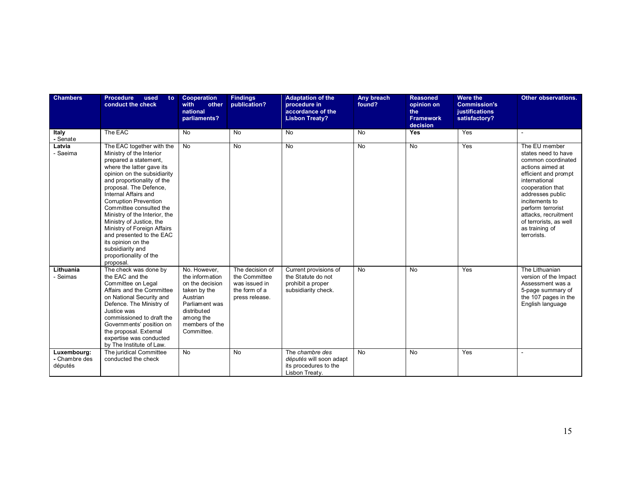| <b>Chambers</b>                         | <b>Procedure</b><br>used<br>to<br>conduct the check                                                                                                                                                                                                                                                                                                                                                                                                                                            | <b>Cooperation</b><br>with<br>other<br>national<br>parliaments?                                                                                              | <b>Findings</b><br>publication?                                                      | <b>Adaptation of the</b><br>procedure in<br>accordance of the<br><b>Lisbon Treaty?</b>  | Any breach<br>found? | <b>Reasoned</b><br>opinion on<br>the<br><b>Framework</b><br>decision | <b>Were the</b><br><b>Commission's</b><br>justifications<br>satisfactory? | Other observations.                                                                                                                                                                                                                                                                       |
|-----------------------------------------|------------------------------------------------------------------------------------------------------------------------------------------------------------------------------------------------------------------------------------------------------------------------------------------------------------------------------------------------------------------------------------------------------------------------------------------------------------------------------------------------|--------------------------------------------------------------------------------------------------------------------------------------------------------------|--------------------------------------------------------------------------------------|-----------------------------------------------------------------------------------------|----------------------|----------------------------------------------------------------------|---------------------------------------------------------------------------|-------------------------------------------------------------------------------------------------------------------------------------------------------------------------------------------------------------------------------------------------------------------------------------------|
| Italy<br>- Senate                       | The EAC                                                                                                                                                                                                                                                                                                                                                                                                                                                                                        | <b>No</b>                                                                                                                                                    | <b>No</b>                                                                            | <b>No</b>                                                                               | <b>No</b>            | Yes                                                                  | Yes                                                                       |                                                                                                                                                                                                                                                                                           |
| Latvia<br>- Saeima                      | The EAC together with the<br>Ministry of the Interior<br>prepared a statement.<br>where the latter gave its<br>opinion on the subsidiarity<br>and proportionality of the<br>proposal. The Defence,<br>Internal Affairs and<br><b>Corruption Prevention</b><br>Committee consulted the<br>Ministry of the Interior, the<br>Ministry of Justice, the<br>Ministry of Foreign Affairs<br>and presented to the EAC<br>its opinion on the<br>subsidiarity and<br>proportionality of the<br>proposal. | <b>No</b>                                                                                                                                                    | <b>No</b>                                                                            | <b>No</b>                                                                               | <b>No</b>            | <b>No</b>                                                            | Yes                                                                       | The EU member<br>states need to have<br>common coordinated<br>actions aimed at<br>efficient and prompt<br>international<br>cooperation that<br>addresses public<br>incitements to<br>perform terrorist<br>attacks, recruitment<br>of terrorists, as well<br>as training of<br>terrorists. |
| Lithuania<br>- Seimas                   | The check was done by<br>the EAC and the<br>Committee on Legal<br>Affairs and the Committee<br>on National Security and<br>Defence. The Ministry of<br>Justice was<br>commissioned to draft the<br>Governments' position on<br>the proposal. External<br>expertise was conducted<br>by The Institute of Law.                                                                                                                                                                                   | No. However,<br>the information<br>on the decision<br>taken by the<br>Austrian<br>Parliament was<br>distributed<br>among the<br>members of the<br>Committee. | The decision of<br>the Committee<br>was issued in<br>the form of a<br>press release. | Current provisions of<br>the Statute do not<br>prohibit a proper<br>subsidiarity check. | <b>No</b>            | <b>No</b>                                                            | Yes                                                                       | The Lithuanian<br>version of the Impact<br>Assessment was a<br>5-page summary of<br>the 107 pages in the<br>English language                                                                                                                                                              |
| Luxembourg:<br>- Chambre des<br>députés | The juridical Committee<br>conducted the check                                                                                                                                                                                                                                                                                                                                                                                                                                                 | No                                                                                                                                                           | <b>No</b>                                                                            | The chambre des<br>députés will soon adapt<br>its procedures to the<br>Lisbon Treaty.   | <b>No</b>            | No                                                                   | Yes                                                                       |                                                                                                                                                                                                                                                                                           |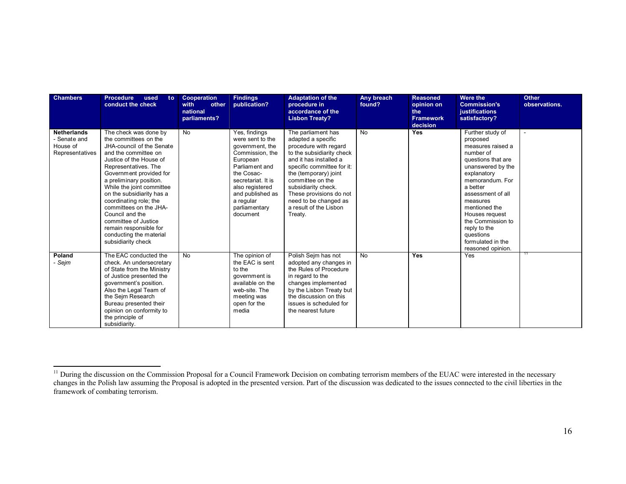| <b>Chambers</b>                                                   | <b>Procedure</b><br>used<br>to:<br>conduct the check                                                                                                                                                                                                                                                                                                                                                                                             | Cooperation<br>with<br>other<br>national<br>parliaments? | <b>Findings</b><br>publication?                                                                                                                                                                                            | <b>Adaptation of the</b><br>procedure in<br>accordance of the<br><b>Lisbon Treaty?</b>                                                                                                                                                                                                                              | Any breach<br>found? | <b>Reasoned</b><br>opinion on<br>the<br><b>Framework</b><br>decision | Were the<br><b>Commission's</b><br>justifications<br>satisfactory?                                                                                                                                                                                                                                                      | <b>Other</b><br>observations. |
|-------------------------------------------------------------------|--------------------------------------------------------------------------------------------------------------------------------------------------------------------------------------------------------------------------------------------------------------------------------------------------------------------------------------------------------------------------------------------------------------------------------------------------|----------------------------------------------------------|----------------------------------------------------------------------------------------------------------------------------------------------------------------------------------------------------------------------------|---------------------------------------------------------------------------------------------------------------------------------------------------------------------------------------------------------------------------------------------------------------------------------------------------------------------|----------------------|----------------------------------------------------------------------|-------------------------------------------------------------------------------------------------------------------------------------------------------------------------------------------------------------------------------------------------------------------------------------------------------------------------|-------------------------------|
| <b>Netherlands</b><br>- Senate and<br>House of<br>Representatives | The check was done by<br>the committees on the<br>JHA-council of the Senate<br>and the committee on<br>Justice of the House of<br>Representatives. The<br>Government provided for<br>a preliminary position.<br>While the joint committee<br>on the subsidiarity has a<br>coordinating role; the<br>committees on the JHA-<br>Council and the<br>committee of Justice<br>remain responsible for<br>conducting the material<br>subsidiarity check | <b>No</b>                                                | Yes, findings<br>were sent to the<br>government, the<br>Commission, the<br>European<br>Parliament and<br>the Cosac-<br>secretariat. It is<br>also registered<br>and published as<br>a regular<br>parliamentary<br>document | The parliament has<br>adapted a specific<br>procedure with regard<br>to the subsidiarity check<br>and it has installed a<br>specific committee for it:<br>the (temporary) joint<br>committee on the<br>subsidiarity check.<br>These provisions do not<br>need to be changed as<br>a result of the Lisbon<br>Treaty. | No                   | <b>Yes</b>                                                           | Further study of<br>proposed<br>measures raised a<br>number of<br>questions that are<br>unanswered by the<br>explanatory<br>memorandum. For<br>a better<br>assessment of all<br>measures<br>mentioned the<br>Houses request<br>the Commission to<br>reply to the<br>questions<br>formulated in the<br>reasoned opinion. |                               |
| Poland<br>- Sejm                                                  | The EAC conducted the<br>check. An undersecretary<br>of State from the Ministry<br>of Justice presented the<br>government's position.<br>Also the Legal Team of<br>the Sejm Research<br>Bureau presented their<br>opinion on conformity to<br>the principle of<br>subsidiarity.                                                                                                                                                                  | <b>No</b>                                                | The opinion of<br>the EAC is sent<br>to the<br>government is<br>available on the<br>web-site. The<br>meeting was<br>open for the<br>media                                                                                  | Polish Sejm has not<br>adopted any changes in<br>the Rules of Procedure<br>in regard to the<br>changes implemented<br>by the Lisbon Treaty but<br>the discussion on this<br>issues is scheduled for<br>the nearest future                                                                                           | <b>No</b>            | Yes                                                                  | Yes                                                                                                                                                                                                                                                                                                                     |                               |

 $\overline{a}$ <sup>11</sup> During the discussion on the Commission Proposal for a Council Framework Decision on combating terrorism members of the EUAC were interested in the necessary changes in the Polish law assuming the Proposal is adopted in the presented version. Part of the discussion was dedicated to the issues connected to the civil liberties in the framework of combating terrorism.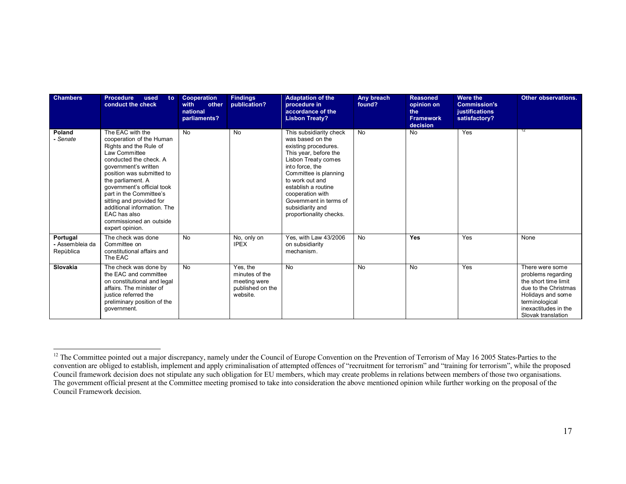| <b>Chambers</b>                          | <b>Procedure</b><br>used<br>to:<br>conduct the check                                                                                                                                                                                                                                                                                                                          | <b>Cooperation</b><br>other<br>with<br>national<br>parliaments? | <b>Findings</b><br>publication?                                            | <b>Adaptation of the</b><br>procedure in<br>accordance of the<br><b>Lisbon Treaty?</b>                                                                                                                                                                                                                 | Any breach<br>found? | <b>Reasoned</b><br>opinion on<br>the<br><b>Framework</b><br>decision | <b>Were the</b><br><b>Commission's</b><br>justifications<br>satisfactory? | Other observations.                                                                                                                                                        |
|------------------------------------------|-------------------------------------------------------------------------------------------------------------------------------------------------------------------------------------------------------------------------------------------------------------------------------------------------------------------------------------------------------------------------------|-----------------------------------------------------------------|----------------------------------------------------------------------------|--------------------------------------------------------------------------------------------------------------------------------------------------------------------------------------------------------------------------------------------------------------------------------------------------------|----------------------|----------------------------------------------------------------------|---------------------------------------------------------------------------|----------------------------------------------------------------------------------------------------------------------------------------------------------------------------|
| Poland<br>- Senate                       | The EAC with the<br>cooperation of the Human<br>Rights and the Rule of<br>Law Committee<br>conducted the check. A<br>government's written<br>position was submitted to<br>the parliament. A<br>government's official took<br>part in the Committee's<br>sitting and provided for<br>additional information. The<br>EAC has also<br>commissioned an outside<br>expert opinion. | <b>No</b>                                                       | <b>No</b>                                                                  | This subsidiarity check<br>was based on the<br>existing procedures.<br>This year, before the<br>Lisbon Treaty comes<br>into force, the<br>Committee is planning<br>to work out and<br>establish a routine<br>cooperation with<br>Government in terms of<br>subsidiarity and<br>proportionality checks. | <b>No</b>            | <b>No</b>                                                            | Yes                                                                       | 12                                                                                                                                                                         |
| Portugal<br>- Assembleia da<br>Repùblica | The check was done<br>Committee on<br>constitutional affairs and<br>The EAC                                                                                                                                                                                                                                                                                                   | <b>No</b>                                                       | No, only on<br><b>IPEX</b>                                                 | Yes, with Law 43/2006<br>on subsidiarity<br>mechanism.                                                                                                                                                                                                                                                 | <b>No</b>            | Yes                                                                  | Yes                                                                       | None                                                                                                                                                                       |
| Slovakia                                 | The check was done by<br>the EAC and committee<br>on constitutional and legal<br>affairs. The minister of<br>justice referred the<br>preliminary position of the<br>government.                                                                                                                                                                                               | No                                                              | Yes, the<br>minutes of the<br>meeting were<br>published on the<br>website. | N <sub>o</sub>                                                                                                                                                                                                                                                                                         | <b>No</b>            | No                                                                   | Yes                                                                       | There were some<br>problems regarding<br>the short time limit<br>due to the Christmas<br>Holidays and some<br>terminological<br>inexactitudes in the<br>Slovak translation |

 $\overline{a}$ <sup>12</sup> The Committee pointed out a major discrepancy, namely under the Council of Europe Convention on the Prevention of Terrorism of May 16 2005 States-Parties to the convention are obliged to establish, implement and apply criminalisation of attempted offences of "recruitment for terrorism" and "training for terrorism", while the proposed Council framework decision does not stipulate any such obligation for EU members, which may create problems in relations between members of those two organisations. The government official present at the Committee meeting promised to take into consideration the above mentioned opinion while further working on the proposal of the Council Framework decision.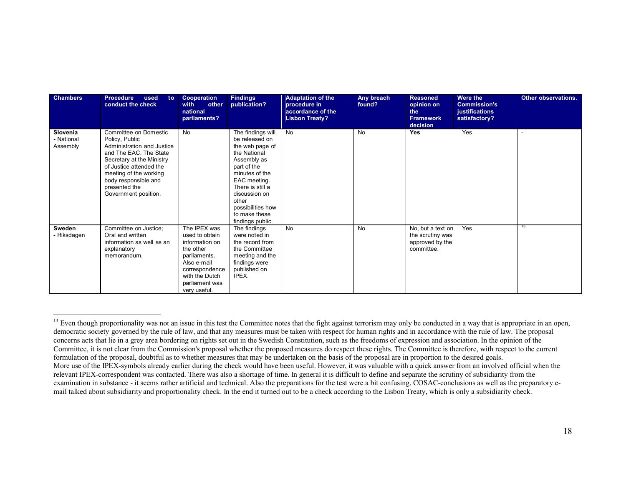| <b>Chambers</b>                    | <b>Procedure</b><br>used<br>to:<br>conduct the check                                                                                                                                                                                               | Cooperation<br>with<br>other<br>national<br>parliaments?                                                                                                           | <b>Findings</b><br>publication?                                                                                                                                                                                                                | <b>Adaptation of the</b><br>procedure in<br>accordance of the<br><b>Lisbon Treaty?</b> | Any breach<br>found? | <b>Reasoned</b><br>opinion on<br>the<br><b>Framework</b><br>decision   | Were the<br><b>Commission's</b><br>justifications<br>satisfactory? | Other observations. |
|------------------------------------|----------------------------------------------------------------------------------------------------------------------------------------------------------------------------------------------------------------------------------------------------|--------------------------------------------------------------------------------------------------------------------------------------------------------------------|------------------------------------------------------------------------------------------------------------------------------------------------------------------------------------------------------------------------------------------------|----------------------------------------------------------------------------------------|----------------------|------------------------------------------------------------------------|--------------------------------------------------------------------|---------------------|
| Slovenia<br>- National<br>Assembly | Committee on Domestic<br>Policy, Public<br>Administration and Justice<br>and The EAC. The State<br>Secretary at the Ministry<br>of Justice attended the<br>meeting of the working<br>body responsible and<br>presented the<br>Government position. | No                                                                                                                                                                 | The findings will<br>be released on<br>the web page of<br>the National<br>Assembly as<br>part of the<br>minutes of the<br>EAC meeting.<br>There is still a<br>discussion on<br>other<br>possibilities how<br>to make these<br>findings public. | No                                                                                     | <b>No</b>            | <b>Yes</b>                                                             | Yes                                                                |                     |
| Sweden<br>- Riksdagen              | Committee on Justice;<br>Oral and written<br>information as well as an<br>explanatory<br>memorandum.                                                                                                                                               | The IPEX was<br>used to obtain<br>information on<br>the other<br>parliaments.<br>Also e-mail<br>correspondence<br>with the Dutch<br>parliament was<br>very useful. | The findings<br>were noted in<br>the record from<br>the Committee<br>meeting and the<br>findings were<br>published on<br>IPEX.                                                                                                                 | No                                                                                     | <b>No</b>            | No, but a text on<br>the scrutiny was<br>approved by the<br>committee. | Yes                                                                | 13                  |

 $\overline{a}$ <sup>13</sup> Even though proportionality was not an issue in this test the Committee notes that the fight against terrorism may only be conducted in a way that is appropriate in an open, democratic society governed by the rule of law, and that any measures must be taken with respect for human rights and in accordance with the rule of law. The proposal concerns acts that lie in a grey area bordering on rights set out in the Swedish Constitution, such as the freedoms of expression and association. In the opinion of the Committee, it is not clear from the Commission's proposal whether the proposed measures do respect these rights. The Committee is therefore, with respect to the current formulation of the proposal, doubtful as to whether measures that may be undertaken on the basis of the proposal are in proportion to the desired goals. More use of the IPEX-symbols already earlier during the check would have been useful. However, it was valuable with a quick answer from an involved official when the relevant IPEX-correspondent was contacted. There was also a shortage of time. In general it is difficult to define and separate the scrutiny of subsidiarity from the examination in substance - it seems rather artificial and technical. Also the preparations for the test were a bit confusing. COSAC-conclusions as well as the preparatory email talked about subsidiarity and proportionality check. In the end it turned out to be a check according to the Lisbon Treaty, which is only a subsidiarity check.